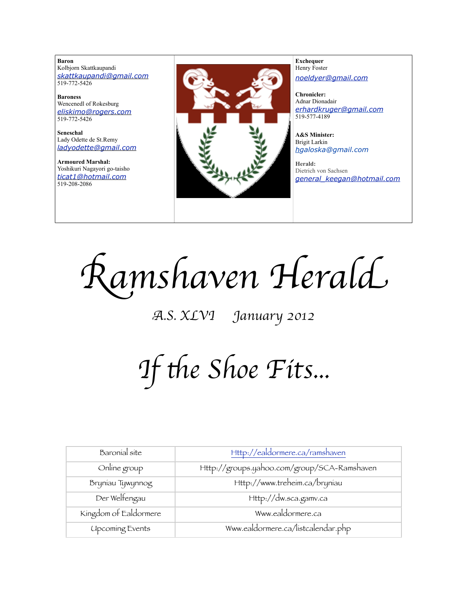**Baron**  Kolbjorn Skattkaupandi *[skattkaupandi@gmail.com](mailto:skattkaupandi@gmail.com)* 519-772-5426

**Baroness** Wencenedl of Rokesburg *[eliskimo@rogers.com](mailto:eliskimo@rogers.com)* 519-772-5426

**Seneschal** Lady Odette de St.Remy *[ladyodette@gmail.com](mailto:patchett@sympatico.ca)*

**Armoured Marshal:** Yoshikuri Nagayori go-taisho *[ticat1@hotmail.com](mailto:ticat1@hotmail.com)* 519-208-2086



**Exchequer** Henry Foster *[noeldyer@gmail.com](mailto:noeldyer@gmail.com)*

**Chronicler:** Adnar Dionadair *[erhardkruger@gmail.com](mailto:erhardkruger@gmail.com)* 519-577-4189

**A&S Minister:** Brigit Larkin *hgaloska@gmail.com*

**Herald:** Dietrich von Sachsen *[general\\_keegan@hotmail.com](mailto:general_keegan@hotmail.com)*

R*amshaven Heral*d

A*.S. XLVI January 2012*

*If the Shoe Fits...* 

| Baronial site          | Http://ealdormere.ca/ramshaven              |
|------------------------|---------------------------------------------|
| Online group           | Http://groups.yahoo.com/group/SCA-Ramshaven |
| Bryniau Tywynnog       | Http://www.treheim.ca/bryniau               |
| Der Welfengau          | Http://dw.sca.gamv.ca                       |
| Kingdom of Ealdormere  | Www.ealdormere.ca                           |
| <b>Upcoming Events</b> | Www.ealdormere.ca/listcalendar.php          |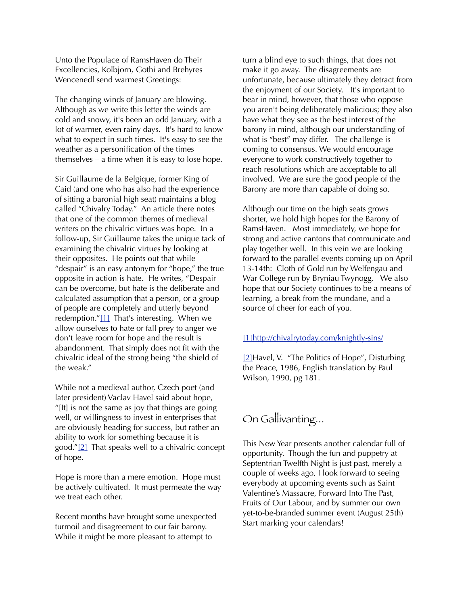Unto the Populace of RamsHaven do Their Excellencies, Kolbjorn, Gothi and Brehyres Wencenedl send warmest Greetings:

The changing winds of January are blowing. Although as we write this letter the winds are cold and snowy, it's been an odd January, with a lot of warmer, even rainy days. It's hard to know what to expect in such times. It's easy to see the weather as a personification of the times themselves – a time when it is easy to lose hope.

Sir Guillaume de la Belgique, former King of Caid (and one who has also had the experience of sitting a baronial high seat) maintains a blog called "Chivalry Today." An article there notes that one of the common themes of medieval writers on the chivalric virtues was hope. In a follow-up, Sir Guillaume takes the unique tack of examining the chivalric virtues by looking at their opposites. He points out that while "despair" is an easy antonym for "hope," the true opposite in action is hate. He writes, "Despair can be overcome, but hate is the deliberate and calculated assumption that a person, or a group of people are completely and utterly beyond redemption."[\[1\]](http://ca.mg206.mail.yahoo.com/neo/#_ftn1) That's interesting. When we allow ourselves to hate or fall prey to anger we don't leave room for hope and the result is abandonment. That simply does not fit with the chivalric ideal of the strong being "the shield of the weak."

While not a medieval author, Czech poet (and later president) Vaclav Havel said about hope, "[It] is not the same as joy that things are going well, or willingness to invest in enterprises that are obviously heading for success, but rather an ability to work for something because it is good."[\[2\]](http://ca.mg206.mail.yahoo.com/neo/#_ftn2) That speaks well to a chivalric concept of hope.

Hope is more than a mere emotion. Hope must be actively cultivated. It must permeate the way we treat each other.

Recent months have brought some unexpected turmoil and disagreement to our fair barony. While it might be more pleasant to attempt to

turn a blind eye to such things, that does not make it go away. The disagreements are unfortunate, because ultimately they detract from the enjoyment of our Society. It's important to bear in mind, however, that those who oppose you aren't being deliberately malicious; they also have what they see as the best interest of the barony in mind, although our understanding of what is "best" may differ. The challenge is coming to consensus. We would encourage everyone to work constructively together to reach resolutions which are acceptable to all involved. We are sure the good people of the Barony are more than capable of doing so.

Although our time on the high seats grows shorter, we hold high hopes for the Barony of RamsHaven. Most immediately, we hope for strong and active cantons that communicate and play together well. In this vein we are looking forward to the parallel events coming up on April 13-14th: Cloth of Gold run by Welfengau and War College run by Bryniau Twynogg. We also hope that our Society continues to be a means of learning, a break from the mundane, and a source of cheer for each of you.

#### [\[1\]](http://ca.mg206.mail.yahoo.com/neo/#_ftnref1)<http://chivalrytoday.com/knightly-sins/>

[\[2\]H](http://ca.mg206.mail.yahoo.com/neo/#_ftnref2)avel, V. "The Politics of Hope", Disturbing the Peace, 1986, English translation by Paul Wilson, 1990, pg 181.

## On Gallivanting...

This New Year presents another calendar full of opportunity. Though the fun and puppetry at Septentrian Twelfth Night is just past, merely a couple of weeks ago, I look forward to seeing everybody at upcoming events such as Saint Valentine's Massacre, Forward Into The Past, Fruits of Our Labour, and by summer our own yet-to-be-branded summer event (August 25th) Start marking your calendars!